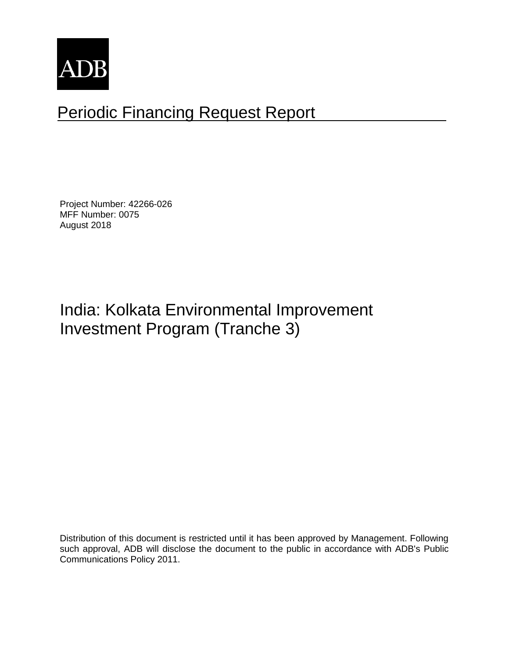

# Periodic Financing Request Report

Project Number: 42266-026 MFF Number: 0075 August 2018

# India: Kolkata Environmental Improvement Investment Program (Tranche 3)

Distribution of this document is restricted until it has been approved by Management. Following such approval, ADB will disclose the document to the public in accordance with ADB's Public Communications Policy 2011.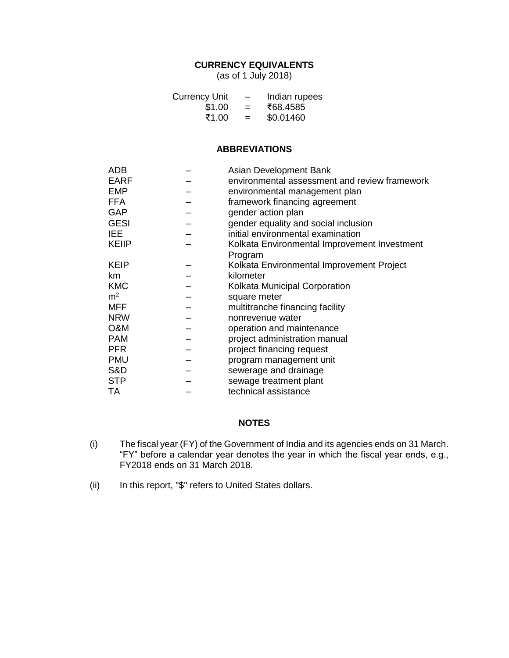## **CURRENCY EQUIVALENTS**

(as of 1 July 2018)

| <b>Currency Unit</b> | $\overline{\phantom{0}}$ | Indian rupees |
|----------------------|--------------------------|---------------|
| \$1.00               | $=$                      | ₹68.4585      |
| ₹1.00                | $=$                      | \$0.01460     |

#### **ABBREVIATIONS**

| <b>ADB</b>     | Asian Development Bank                        |
|----------------|-----------------------------------------------|
| <b>EARF</b>    | environmental assessment and review framework |
| <b>EMP</b>     | environmental management plan                 |
| <b>FFA</b>     | framework financing agreement                 |
| <b>GAP</b>     | gender action plan                            |
| <b>GESI</b>    | gender equality and social inclusion          |
| <b>IEE</b>     | initial environmental examination             |
| <b>KEIIP</b>   | Kolkata Environmental Improvement Investment  |
|                | Program                                       |
| <b>KEIP</b>    | Kolkata Environmental Improvement Project     |
| km             | kilometer                                     |
| <b>KMC</b>     | Kolkata Municipal Corporation                 |
| m <sup>2</sup> | square meter                                  |
| <b>MFF</b>     | multitranche financing facility               |
| <b>NRW</b>     | nonrevenue water                              |
| O&M            | operation and maintenance                     |
| <b>PAM</b>     | project administration manual                 |
| <b>PFR</b>     | project financing request                     |
| <b>PMU</b>     | program management unit                       |
| S&D            | sewerage and drainage                         |
| <b>STP</b>     | sewage treatment plant                        |
| TA             | technical assistance                          |
|                |                                               |

## **NOTES**

- (i) The fiscal year (FY) of the Government of India and its agencies ends on 31 March. "FY" before a calendar year denotes the year in which the fiscal year ends, e.g., FY2018 ends on 31 March 2018.
- (ii) In this report, "\$" refers to United States dollars.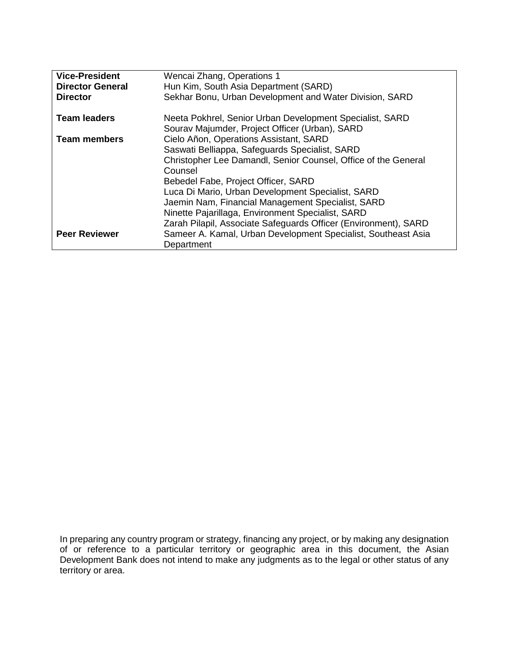| <b>Vice-President</b><br><b>Director General</b><br><b>Director</b> | Wencai Zhang, Operations 1<br>Hun Kim, South Asia Department (SARD)<br>Sekhar Bonu, Urban Development and Water Division, SARD                                                                                                                                                                                                                                                                                                                 |
|---------------------------------------------------------------------|------------------------------------------------------------------------------------------------------------------------------------------------------------------------------------------------------------------------------------------------------------------------------------------------------------------------------------------------------------------------------------------------------------------------------------------------|
| <b>Team leaders</b>                                                 | Neeta Pokhrel, Senior Urban Development Specialist, SARD<br>Sourav Majumder, Project Officer (Urban), SARD                                                                                                                                                                                                                                                                                                                                     |
| <b>Team members</b>                                                 | Cielo Añon, Operations Assistant, SARD<br>Saswati Belliappa, Safeguards Specialist, SARD<br>Christopher Lee Damandl, Senior Counsel, Office of the General<br>Counsel<br>Bebedel Fabe, Project Officer, SARD<br>Luca Di Mario, Urban Development Specialist, SARD<br>Jaemin Nam, Financial Management Specialist, SARD<br>Ninette Pajarillaga, Environment Specialist, SARD<br>Zarah Pilapil, Associate Safeguards Officer (Environment), SARD |
| <b>Peer Reviewer</b>                                                | Sameer A. Kamal, Urban Development Specialist, Southeast Asia<br>Department                                                                                                                                                                                                                                                                                                                                                                    |

In preparing any country program or strategy, financing any project, or by making any designation of or reference to a particular territory or geographic area in this document, the Asian Development Bank does not intend to make any judgments as to the legal or other status of any territory or area.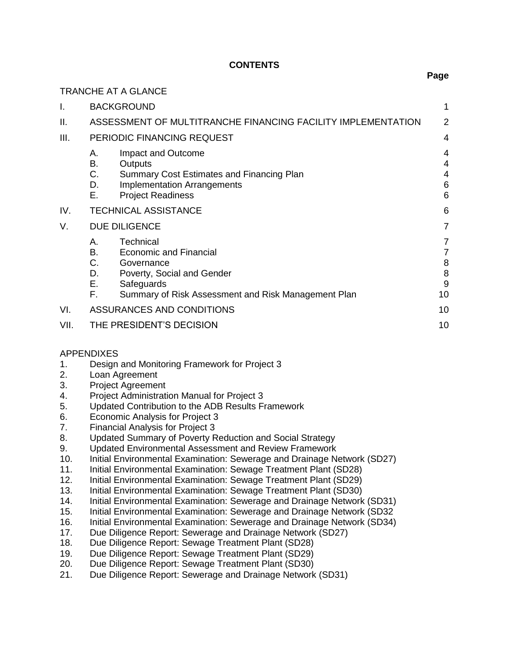## **CONTENTS**

|      |                                         | <b>TRANCHE AT A GLANCE</b>                                                                                                                                  |                             |
|------|-----------------------------------------|-------------------------------------------------------------------------------------------------------------------------------------------------------------|-----------------------------|
| Ι.   |                                         | <b>BACKGROUND</b>                                                                                                                                           | 1                           |
| Ш.   |                                         | ASSESSMENT OF MULTITRANCHE FINANCING FACILITY IMPLEMENTATION                                                                                                | 2                           |
| III. |                                         | PERIODIC FINANCING REQUEST                                                                                                                                  | 4                           |
|      | А.<br>В.<br>С.<br>D.<br>Е.              | Impact and Outcome<br>Outputs<br>Summary Cost Estimates and Financing Plan<br><b>Implementation Arrangements</b><br><b>Project Readiness</b>                | 4<br>4<br>4<br>6<br>6       |
| IV.  |                                         | <b>TECHNICAL ASSISTANCE</b>                                                                                                                                 | 6                           |
| V.   |                                         | <b>DUE DILIGENCE</b>                                                                                                                                        | 7                           |
|      | А.<br><b>B.</b><br>C.<br>D.<br>Е.<br>F. | Technical<br><b>Economic and Financial</b><br>Governance<br>Poverty, Social and Gender<br>Safeguards<br>Summary of Risk Assessment and Risk Management Plan | 7<br>7<br>8<br>8<br>9<br>10 |
| VI.  |                                         | ASSURANCES AND CONDITIONS                                                                                                                                   | 10                          |
| VII. |                                         | THE PRESIDENT'S DECISION                                                                                                                                    | 10                          |

#### APPENDIXES

- 1. Design and Monitoring Framework for Project 3
- 2. Loan Agreement
- 3. Project Agreement
- 4. Project Administration Manual for Project 3
- 5. Updated Contribution to the ADB Results Framework
- 6. Economic Analysis for Project 3
- 7. Financial Analysis for Project 3
- 8. Updated Summary of Poverty Reduction and Social Strategy
- 9. Updated Environmental Assessment and Review Framework
- 10. Initial Environmental Examination: Sewerage and Drainage Network (SD27)
- 11. Initial Environmental Examination: Sewage Treatment Plant (SD28)
- 12. Initial Environmental Examination: Sewage Treatment Plant (SD29)
- 13. Initial Environmental Examination: Sewage Treatment Plant (SD30)
- 14. Initial Environmental Examination: Sewerage and Drainage Network (SD31)
- 15. Initial Environmental Examination: Sewerage and Drainage Network (SD32
- 16. Initial Environmental Examination: Sewerage and Drainage Network (SD34)
- 17. Due Diligence Report: Sewerage and Drainage Network (SD27)
- 18. Due Diligence Report: Sewage Treatment Plant (SD28)
- 19. Due Diligence Report: Sewage Treatment Plant (SD29)
- 20. Due Diligence Report: Sewage Treatment Plant (SD30)
- 21. Due Diligence Report: Sewerage and Drainage Network (SD31)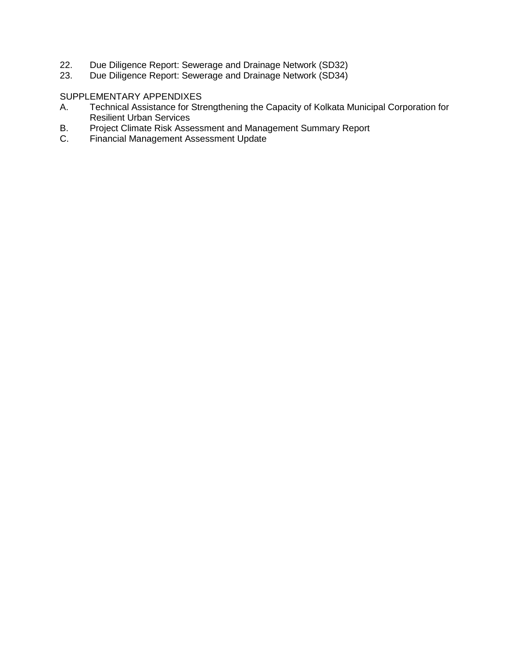- 22. Due Diligence Report: Sewerage and Drainage Network (SD32)
- 23. Due Diligence Report: Sewerage and Drainage Network (SD34)

## SUPPLEMENTARY APPENDIXES

- A. Technical Assistance for Strengthening the Capacity of Kolkata Municipal Corporation for Resilient Urban Services
- B. Project Climate Risk Assessment and Management Summary Report
- C. Financial Management Assessment Update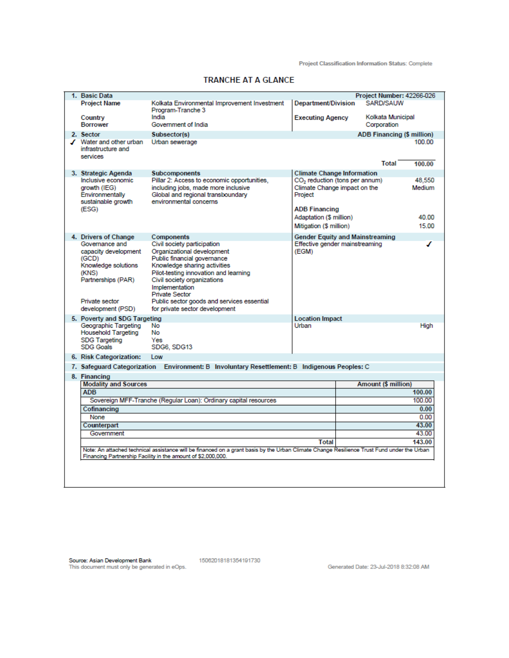Project Classification Information Status: Complete

| 1. Basic Data<br>Project Number: 42266-026<br>SARD/SAUW<br><b>Project Name</b><br>Kolkata Environmental Improvement Investment<br><b>Department/Division</b><br>Program-Tranche 3<br>India<br>Kolkata Municipal<br><b>Executing Agency</b><br>Country<br>Government of India<br><b>Borrower</b><br>Corporation<br><b>ADB Financing (\$ million)</b><br>2. Sector<br>Subsector(s)<br>Urban sewerage<br>✔ Water and other urban<br>100.00<br>infrastructure and<br>services<br>Total<br>100.00<br>3. Strategic Agenda<br><b>Subcomponents</b><br><b>Climate Change Information</b><br>Pillar 2: Access to economic opportunities,<br>Inclusive economic<br>CO <sub>2</sub> reduction (tons per annum)<br>48,550<br>Climate Change impact on the<br>including jobs, made more inclusive<br>arowth (IEG)<br>Medium<br>Global and regional transboundary<br>Environmentally<br>Project<br>environmental concerns<br>sustainable growth<br><b>ADB Financing</b><br>(ESG)<br>Adaptation (\$ million)<br>40.00<br>Mitigation (\$ million)<br>15.00<br>4. Drivers of Change<br>Components<br><b>Gender Equity and Mainstreaming</b><br>Governance and<br>Civil society participation<br>Effective gender mainstreaming<br>Organizational development<br>capacity development<br>(EGM)<br>Public financial governance<br>(GCD)<br>Knowledge solutions<br>Knowledge sharing activities<br>Pilot-testing innovation and learning<br>(KNS)<br>Civil society organizations<br>Partnerships (PAR)<br>Implementation<br><b>Private Sector</b><br>Public sector goods and services essential<br>Private sector<br>development (PSD)<br>for private sector development<br>5. Poverty and SDG Targeting<br><b>Location Impact</b><br>Geographic Targeting<br>Urban<br>No<br>High<br><b>Household Targeting</b><br>No<br><b>SDG Targeting</b><br>Yes<br><b>SDG Goals</b><br>SDG6, SDG13<br>6. Risk Categorization:<br>Low<br>7. Safeguard Categorization Environment: B Involuntary Resettlement: B Indigenous Peoples: C<br>8. Financing<br><b>Modality and Sources</b><br>Amount (\$ million)<br><b>ADB</b><br>100.00<br>Sovereign MFF-Tranche (Regular Loan): Ordinary capital resources<br>100.00<br>Cofinancing<br>0.00<br>0.00<br>None<br>43.00<br>Counterpart<br>43.00<br>Government<br>143.00<br>Total<br>Note: An attached technical assistance will be financed on a grant basis by the Urban Climate Change Resilience Trust Fund under the Urban<br>Financing Partnership Facility in the amount of \$2,000,000. |  |  |  |
|----------------------------------------------------------------------------------------------------------------------------------------------------------------------------------------------------------------------------------------------------------------------------------------------------------------------------------------------------------------------------------------------------------------------------------------------------------------------------------------------------------------------------------------------------------------------------------------------------------------------------------------------------------------------------------------------------------------------------------------------------------------------------------------------------------------------------------------------------------------------------------------------------------------------------------------------------------------------------------------------------------------------------------------------------------------------------------------------------------------------------------------------------------------------------------------------------------------------------------------------------------------------------------------------------------------------------------------------------------------------------------------------------------------------------------------------------------------------------------------------------------------------------------------------------------------------------------------------------------------------------------------------------------------------------------------------------------------------------------------------------------------------------------------------------------------------------------------------------------------------------------------------------------------------------------------------------------------------------------------------------------------------------------------------------------------------------------------------------------------------------------------------------------------------------------------------------------------------------------------------------------------------------------------------------------------------------------------------------------------------------------------------------------------------------------------------------------------------------------------------------------|--|--|--|
|                                                                                                                                                                                                                                                                                                                                                                                                                                                                                                                                                                                                                                                                                                                                                                                                                                                                                                                                                                                                                                                                                                                                                                                                                                                                                                                                                                                                                                                                                                                                                                                                                                                                                                                                                                                                                                                                                                                                                                                                                                                                                                                                                                                                                                                                                                                                                                                                                                                                                                          |  |  |  |
|                                                                                                                                                                                                                                                                                                                                                                                                                                                                                                                                                                                                                                                                                                                                                                                                                                                                                                                                                                                                                                                                                                                                                                                                                                                                                                                                                                                                                                                                                                                                                                                                                                                                                                                                                                                                                                                                                                                                                                                                                                                                                                                                                                                                                                                                                                                                                                                                                                                                                                          |  |  |  |
|                                                                                                                                                                                                                                                                                                                                                                                                                                                                                                                                                                                                                                                                                                                                                                                                                                                                                                                                                                                                                                                                                                                                                                                                                                                                                                                                                                                                                                                                                                                                                                                                                                                                                                                                                                                                                                                                                                                                                                                                                                                                                                                                                                                                                                                                                                                                                                                                                                                                                                          |  |  |  |
|                                                                                                                                                                                                                                                                                                                                                                                                                                                                                                                                                                                                                                                                                                                                                                                                                                                                                                                                                                                                                                                                                                                                                                                                                                                                                                                                                                                                                                                                                                                                                                                                                                                                                                                                                                                                                                                                                                                                                                                                                                                                                                                                                                                                                                                                                                                                                                                                                                                                                                          |  |  |  |
|                                                                                                                                                                                                                                                                                                                                                                                                                                                                                                                                                                                                                                                                                                                                                                                                                                                                                                                                                                                                                                                                                                                                                                                                                                                                                                                                                                                                                                                                                                                                                                                                                                                                                                                                                                                                                                                                                                                                                                                                                                                                                                                                                                                                                                                                                                                                                                                                                                                                                                          |  |  |  |
|                                                                                                                                                                                                                                                                                                                                                                                                                                                                                                                                                                                                                                                                                                                                                                                                                                                                                                                                                                                                                                                                                                                                                                                                                                                                                                                                                                                                                                                                                                                                                                                                                                                                                                                                                                                                                                                                                                                                                                                                                                                                                                                                                                                                                                                                                                                                                                                                                                                                                                          |  |  |  |
|                                                                                                                                                                                                                                                                                                                                                                                                                                                                                                                                                                                                                                                                                                                                                                                                                                                                                                                                                                                                                                                                                                                                                                                                                                                                                                                                                                                                                                                                                                                                                                                                                                                                                                                                                                                                                                                                                                                                                                                                                                                                                                                                                                                                                                                                                                                                                                                                                                                                                                          |  |  |  |
|                                                                                                                                                                                                                                                                                                                                                                                                                                                                                                                                                                                                                                                                                                                                                                                                                                                                                                                                                                                                                                                                                                                                                                                                                                                                                                                                                                                                                                                                                                                                                                                                                                                                                                                                                                                                                                                                                                                                                                                                                                                                                                                                                                                                                                                                                                                                                                                                                                                                                                          |  |  |  |
|                                                                                                                                                                                                                                                                                                                                                                                                                                                                                                                                                                                                                                                                                                                                                                                                                                                                                                                                                                                                                                                                                                                                                                                                                                                                                                                                                                                                                                                                                                                                                                                                                                                                                                                                                                                                                                                                                                                                                                                                                                                                                                                                                                                                                                                                                                                                                                                                                                                                                                          |  |  |  |
|                                                                                                                                                                                                                                                                                                                                                                                                                                                                                                                                                                                                                                                                                                                                                                                                                                                                                                                                                                                                                                                                                                                                                                                                                                                                                                                                                                                                                                                                                                                                                                                                                                                                                                                                                                                                                                                                                                                                                                                                                                                                                                                                                                                                                                                                                                                                                                                                                                                                                                          |  |  |  |
|                                                                                                                                                                                                                                                                                                                                                                                                                                                                                                                                                                                                                                                                                                                                                                                                                                                                                                                                                                                                                                                                                                                                                                                                                                                                                                                                                                                                                                                                                                                                                                                                                                                                                                                                                                                                                                                                                                                                                                                                                                                                                                                                                                                                                                                                                                                                                                                                                                                                                                          |  |  |  |
|                                                                                                                                                                                                                                                                                                                                                                                                                                                                                                                                                                                                                                                                                                                                                                                                                                                                                                                                                                                                                                                                                                                                                                                                                                                                                                                                                                                                                                                                                                                                                                                                                                                                                                                                                                                                                                                                                                                                                                                                                                                                                                                                                                                                                                                                                                                                                                                                                                                                                                          |  |  |  |
|                                                                                                                                                                                                                                                                                                                                                                                                                                                                                                                                                                                                                                                                                                                                                                                                                                                                                                                                                                                                                                                                                                                                                                                                                                                                                                                                                                                                                                                                                                                                                                                                                                                                                                                                                                                                                                                                                                                                                                                                                                                                                                                                                                                                                                                                                                                                                                                                                                                                                                          |  |  |  |
|                                                                                                                                                                                                                                                                                                                                                                                                                                                                                                                                                                                                                                                                                                                                                                                                                                                                                                                                                                                                                                                                                                                                                                                                                                                                                                                                                                                                                                                                                                                                                                                                                                                                                                                                                                                                                                                                                                                                                                                                                                                                                                                                                                                                                                                                                                                                                                                                                                                                                                          |  |  |  |
|                                                                                                                                                                                                                                                                                                                                                                                                                                                                                                                                                                                                                                                                                                                                                                                                                                                                                                                                                                                                                                                                                                                                                                                                                                                                                                                                                                                                                                                                                                                                                                                                                                                                                                                                                                                                                                                                                                                                                                                                                                                                                                                                                                                                                                                                                                                                                                                                                                                                                                          |  |  |  |
|                                                                                                                                                                                                                                                                                                                                                                                                                                                                                                                                                                                                                                                                                                                                                                                                                                                                                                                                                                                                                                                                                                                                                                                                                                                                                                                                                                                                                                                                                                                                                                                                                                                                                                                                                                                                                                                                                                                                                                                                                                                                                                                                                                                                                                                                                                                                                                                                                                                                                                          |  |  |  |
|                                                                                                                                                                                                                                                                                                                                                                                                                                                                                                                                                                                                                                                                                                                                                                                                                                                                                                                                                                                                                                                                                                                                                                                                                                                                                                                                                                                                                                                                                                                                                                                                                                                                                                                                                                                                                                                                                                                                                                                                                                                                                                                                                                                                                                                                                                                                                                                                                                                                                                          |  |  |  |
|                                                                                                                                                                                                                                                                                                                                                                                                                                                                                                                                                                                                                                                                                                                                                                                                                                                                                                                                                                                                                                                                                                                                                                                                                                                                                                                                                                                                                                                                                                                                                                                                                                                                                                                                                                                                                                                                                                                                                                                                                                                                                                                                                                                                                                                                                                                                                                                                                                                                                                          |  |  |  |
|                                                                                                                                                                                                                                                                                                                                                                                                                                                                                                                                                                                                                                                                                                                                                                                                                                                                                                                                                                                                                                                                                                                                                                                                                                                                                                                                                                                                                                                                                                                                                                                                                                                                                                                                                                                                                                                                                                                                                                                                                                                                                                                                                                                                                                                                                                                                                                                                                                                                                                          |  |  |  |
|                                                                                                                                                                                                                                                                                                                                                                                                                                                                                                                                                                                                                                                                                                                                                                                                                                                                                                                                                                                                                                                                                                                                                                                                                                                                                                                                                                                                                                                                                                                                                                                                                                                                                                                                                                                                                                                                                                                                                                                                                                                                                                                                                                                                                                                                                                                                                                                                                                                                                                          |  |  |  |
|                                                                                                                                                                                                                                                                                                                                                                                                                                                                                                                                                                                                                                                                                                                                                                                                                                                                                                                                                                                                                                                                                                                                                                                                                                                                                                                                                                                                                                                                                                                                                                                                                                                                                                                                                                                                                                                                                                                                                                                                                                                                                                                                                                                                                                                                                                                                                                                                                                                                                                          |  |  |  |
|                                                                                                                                                                                                                                                                                                                                                                                                                                                                                                                                                                                                                                                                                                                                                                                                                                                                                                                                                                                                                                                                                                                                                                                                                                                                                                                                                                                                                                                                                                                                                                                                                                                                                                                                                                                                                                                                                                                                                                                                                                                                                                                                                                                                                                                                                                                                                                                                                                                                                                          |  |  |  |
|                                                                                                                                                                                                                                                                                                                                                                                                                                                                                                                                                                                                                                                                                                                                                                                                                                                                                                                                                                                                                                                                                                                                                                                                                                                                                                                                                                                                                                                                                                                                                                                                                                                                                                                                                                                                                                                                                                                                                                                                                                                                                                                                                                                                                                                                                                                                                                                                                                                                                                          |  |  |  |
|                                                                                                                                                                                                                                                                                                                                                                                                                                                                                                                                                                                                                                                                                                                                                                                                                                                                                                                                                                                                                                                                                                                                                                                                                                                                                                                                                                                                                                                                                                                                                                                                                                                                                                                                                                                                                                                                                                                                                                                                                                                                                                                                                                                                                                                                                                                                                                                                                                                                                                          |  |  |  |
|                                                                                                                                                                                                                                                                                                                                                                                                                                                                                                                                                                                                                                                                                                                                                                                                                                                                                                                                                                                                                                                                                                                                                                                                                                                                                                                                                                                                                                                                                                                                                                                                                                                                                                                                                                                                                                                                                                                                                                                                                                                                                                                                                                                                                                                                                                                                                                                                                                                                                                          |  |  |  |
|                                                                                                                                                                                                                                                                                                                                                                                                                                                                                                                                                                                                                                                                                                                                                                                                                                                                                                                                                                                                                                                                                                                                                                                                                                                                                                                                                                                                                                                                                                                                                                                                                                                                                                                                                                                                                                                                                                                                                                                                                                                                                                                                                                                                                                                                                                                                                                                                                                                                                                          |  |  |  |
|                                                                                                                                                                                                                                                                                                                                                                                                                                                                                                                                                                                                                                                                                                                                                                                                                                                                                                                                                                                                                                                                                                                                                                                                                                                                                                                                                                                                                                                                                                                                                                                                                                                                                                                                                                                                                                                                                                                                                                                                                                                                                                                                                                                                                                                                                                                                                                                                                                                                                                          |  |  |  |
|                                                                                                                                                                                                                                                                                                                                                                                                                                                                                                                                                                                                                                                                                                                                                                                                                                                                                                                                                                                                                                                                                                                                                                                                                                                                                                                                                                                                                                                                                                                                                                                                                                                                                                                                                                                                                                                                                                                                                                                                                                                                                                                                                                                                                                                                                                                                                                                                                                                                                                          |  |  |  |
|                                                                                                                                                                                                                                                                                                                                                                                                                                                                                                                                                                                                                                                                                                                                                                                                                                                                                                                                                                                                                                                                                                                                                                                                                                                                                                                                                                                                                                                                                                                                                                                                                                                                                                                                                                                                                                                                                                                                                                                                                                                                                                                                                                                                                                                                                                                                                                                                                                                                                                          |  |  |  |
|                                                                                                                                                                                                                                                                                                                                                                                                                                                                                                                                                                                                                                                                                                                                                                                                                                                                                                                                                                                                                                                                                                                                                                                                                                                                                                                                                                                                                                                                                                                                                                                                                                                                                                                                                                                                                                                                                                                                                                                                                                                                                                                                                                                                                                                                                                                                                                                                                                                                                                          |  |  |  |
|                                                                                                                                                                                                                                                                                                                                                                                                                                                                                                                                                                                                                                                                                                                                                                                                                                                                                                                                                                                                                                                                                                                                                                                                                                                                                                                                                                                                                                                                                                                                                                                                                                                                                                                                                                                                                                                                                                                                                                                                                                                                                                                                                                                                                                                                                                                                                                                                                                                                                                          |  |  |  |
|                                                                                                                                                                                                                                                                                                                                                                                                                                                                                                                                                                                                                                                                                                                                                                                                                                                                                                                                                                                                                                                                                                                                                                                                                                                                                                                                                                                                                                                                                                                                                                                                                                                                                                                                                                                                                                                                                                                                                                                                                                                                                                                                                                                                                                                                                                                                                                                                                                                                                                          |  |  |  |
|                                                                                                                                                                                                                                                                                                                                                                                                                                                                                                                                                                                                                                                                                                                                                                                                                                                                                                                                                                                                                                                                                                                                                                                                                                                                                                                                                                                                                                                                                                                                                                                                                                                                                                                                                                                                                                                                                                                                                                                                                                                                                                                                                                                                                                                                                                                                                                                                                                                                                                          |  |  |  |
|                                                                                                                                                                                                                                                                                                                                                                                                                                                                                                                                                                                                                                                                                                                                                                                                                                                                                                                                                                                                                                                                                                                                                                                                                                                                                                                                                                                                                                                                                                                                                                                                                                                                                                                                                                                                                                                                                                                                                                                                                                                                                                                                                                                                                                                                                                                                                                                                                                                                                                          |  |  |  |
|                                                                                                                                                                                                                                                                                                                                                                                                                                                                                                                                                                                                                                                                                                                                                                                                                                                                                                                                                                                                                                                                                                                                                                                                                                                                                                                                                                                                                                                                                                                                                                                                                                                                                                                                                                                                                                                                                                                                                                                                                                                                                                                                                                                                                                                                                                                                                                                                                                                                                                          |  |  |  |
|                                                                                                                                                                                                                                                                                                                                                                                                                                                                                                                                                                                                                                                                                                                                                                                                                                                                                                                                                                                                                                                                                                                                                                                                                                                                                                                                                                                                                                                                                                                                                                                                                                                                                                                                                                                                                                                                                                                                                                                                                                                                                                                                                                                                                                                                                                                                                                                                                                                                                                          |  |  |  |
|                                                                                                                                                                                                                                                                                                                                                                                                                                                                                                                                                                                                                                                                                                                                                                                                                                                                                                                                                                                                                                                                                                                                                                                                                                                                                                                                                                                                                                                                                                                                                                                                                                                                                                                                                                                                                                                                                                                                                                                                                                                                                                                                                                                                                                                                                                                                                                                                                                                                                                          |  |  |  |
|                                                                                                                                                                                                                                                                                                                                                                                                                                                                                                                                                                                                                                                                                                                                                                                                                                                                                                                                                                                                                                                                                                                                                                                                                                                                                                                                                                                                                                                                                                                                                                                                                                                                                                                                                                                                                                                                                                                                                                                                                                                                                                                                                                                                                                                                                                                                                                                                                                                                                                          |  |  |  |
|                                                                                                                                                                                                                                                                                                                                                                                                                                                                                                                                                                                                                                                                                                                                                                                                                                                                                                                                                                                                                                                                                                                                                                                                                                                                                                                                                                                                                                                                                                                                                                                                                                                                                                                                                                                                                                                                                                                                                                                                                                                                                                                                                                                                                                                                                                                                                                                                                                                                                                          |  |  |  |
|                                                                                                                                                                                                                                                                                                                                                                                                                                                                                                                                                                                                                                                                                                                                                                                                                                                                                                                                                                                                                                                                                                                                                                                                                                                                                                                                                                                                                                                                                                                                                                                                                                                                                                                                                                                                                                                                                                                                                                                                                                                                                                                                                                                                                                                                                                                                                                                                                                                                                                          |  |  |  |
|                                                                                                                                                                                                                                                                                                                                                                                                                                                                                                                                                                                                                                                                                                                                                                                                                                                                                                                                                                                                                                                                                                                                                                                                                                                                                                                                                                                                                                                                                                                                                                                                                                                                                                                                                                                                                                                                                                                                                                                                                                                                                                                                                                                                                                                                                                                                                                                                                                                                                                          |  |  |  |
|                                                                                                                                                                                                                                                                                                                                                                                                                                                                                                                                                                                                                                                                                                                                                                                                                                                                                                                                                                                                                                                                                                                                                                                                                                                                                                                                                                                                                                                                                                                                                                                                                                                                                                                                                                                                                                                                                                                                                                                                                                                                                                                                                                                                                                                                                                                                                                                                                                                                                                          |  |  |  |

#### **TRANCHE AT A GLANCE**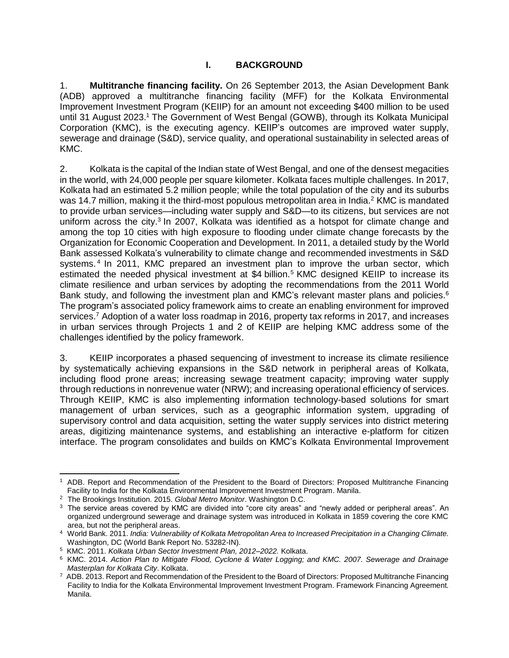## **I. BACKGROUND**

<span id="page-6-0"></span>1. **Multitranche financing facility.** On 26 September 2013, the Asian Development Bank (ADB) approved a multitranche financing facility (MFF) for the Kolkata Environmental Improvement Investment Program (KEIIP) for an amount not exceeding \$400 million to be used until 31 August 2023.<sup>1</sup> The Government of West Bengal (GOWB), through its Kolkata Municipal Corporation (KMC), is the executing agency. KEIIP's outcomes are improved water supply, sewerage and drainage (S&D), service quality, and operational sustainability in selected areas of KMC.

2. Kolkata is the capital of the Indian state of West Bengal, and one of the densest megacities in the world, with 24,000 people per square kilometer. Kolkata faces multiple challenges. In 2017, Kolkata had an estimated 5.2 million people; while the total population of the city and its suburbs was 14.7 million, making it the third-most populous metropolitan area in India.<sup>2</sup> KMC is mandated to provide urban services—including water supply and  $S&D$ —to its citizens, but services are not uniform across the city.<sup>3</sup> In 2007, Kolkata was identified as a hotspot for climate change and among the top 10 cities with high exposure to flooding under climate change forecasts by the Organization for Economic Cooperation and Development. In 2011, a detailed study by the World Bank assessed Kolkata's vulnerability to climate change and recommended investments in S&D systems.<sup>4</sup> In 2011, KMC prepared an investment plan to improve the urban sector, which estimated the needed physical investment at \$4 billion.<sup>5</sup> KMC designed KEIIP to increase its climate resilience and urban services by adopting the recommendations from the 2011 World Bank study, and following the investment plan and KMC's relevant master plans and policies.<sup>6</sup> The program's associated policy framework aims to create an enabling environment for improved services.<sup>7</sup> Adoption of a water loss roadmap in 2016, property tax reforms in 2017, and increases in urban services through Projects 1 and 2 of KEIIP are helping KMC address some of the challenges identified by the policy framework.

3. KEIIP incorporates a phased sequencing of investment to increase its climate resilience by systematically achieving expansions in the S&D network in peripheral areas of Kolkata, including flood prone areas; increasing sewage treatment capacity; improving water supply through reductions in nonrevenue water (NRW); and increasing operational efficiency of services. Through KEIIP, KMC is also implementing information technology-based solutions for smart management of urban services, such as a geographic information system, upgrading of supervisory control and data acquisition, setting the water supply services into district metering areas, digitizing maintenance systems, and establishing an interactive e-platform for citizen interface. The program consolidates and builds on KMC's Kolkata Environmental Improvement

 $\overline{a}$ 

<sup>1</sup> ADB. [Report and Recommendation of the President to the Board of Directors: Proposed Multitranche Financing](https://www.adb.org/sites/default/files/project-document/78962/42266-013-ind-rrp.pdf)  [Facility to India for the Kolkata Environmental Improvement Investment Program.](https://www.adb.org/sites/default/files/project-document/78962/42266-013-ind-rrp.pdf) Manila.

<sup>2</sup> The Brookings Institution. 2015. *Global Metro Monitor*. Washington D.C.

<sup>&</sup>lt;sup>3</sup> The service areas covered by KMC are divided into "core city areas" and "newly added or peripheral areas". An organized underground sewerage and drainage system was introduced in Kolkata in 1859 covering the core KMC area, but not the peripheral areas.

<sup>4</sup> World Bank. 2011. *India: Vulnerability of Kolkata Metropolitan Area to Increased Precipitation in a Changing Climate.* Washington, DC (World Bank Report No. 53282-IN).

<sup>5</sup> KMC. 2011. *Kolkata Urban Sector Investment Plan, 2012–2022.* Kolkata.

<sup>6</sup> KMC. 2014. *Action Plan to Mitigate Flood, Cyclone & Water Logging; and KMC. 2007. Sewerage and Drainage Masterplan for Kolkata City*. Kolkata.

<sup>7</sup> ADB. 2013[. Report and Recommendation of the President to the Board of Directors: Proposed Multitranche Financing](https://www.adb.org/sites/default/files/project-document/78962/42266-013-ind-rrp.pdf)  [Facility to India for the Kolkata Environmental Improvement Investment Program.](https://www.adb.org/sites/default/files/project-document/78962/42266-013-ind-rrp.pdf) Framework Financing Agreement*.*  Manila.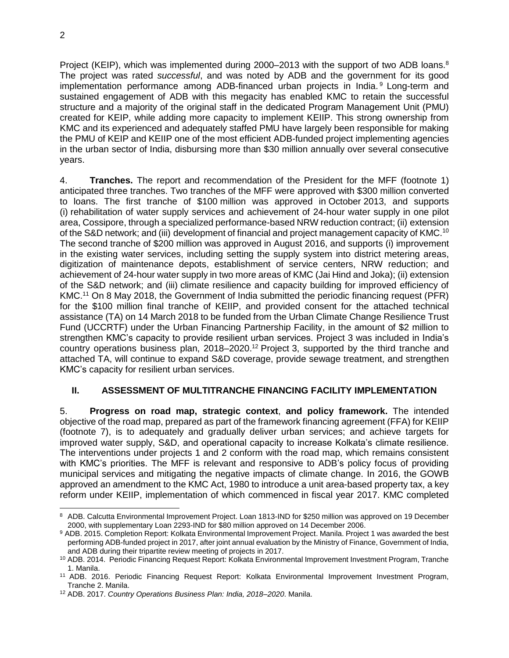2

Project (KEIP), which was implemented during 2000–2013 with the support of two ADB loans.<sup>8</sup> The project was rated *successful*, and was noted by ADB and the government for its good implementation performance among ADB-financed urban projects in India.<sup>9</sup> Long-term and sustained engagement of ADB with this megacity has enabled KMC to retain the successful structure and a majority of the original staff in the dedicated Program Management Unit (PMU) created for KEIP, while adding more capacity to implement KEIIP. This strong ownership from KMC and its experienced and adequately staffed PMU have largely been responsible for making the PMU of KEIP and KEIIP one of the most efficient ADB-funded project implementing agencies in the urban sector of India, disbursing more than \$30 million annually over several consecutive years.

4. **Tranches.** The report and recommendation of the President for the MFF (footnote 1) anticipated three tranches. Two tranches of the MFF were approved with \$300 million converted to loans. The first tranche of \$100 million was approved in October 2013, and supports (i) rehabilitation of water supply services and achievement of 24-hour water supply in one pilot area, Cossipore, through a specialized performance-based NRW reduction contract; (ii) extension of the S&D network; and (iii) development of financial and project management capacity of KMC.<sup>10</sup> The second tranche of \$200 million was approved in August 2016, and supports (i) improvement in the existing water services, including setting the supply system into district metering areas, digitization of maintenance depots, establishment of service centers, NRW reduction; and achievement of 24-hour water supply in two more areas of KMC (Jai Hind and Joka); (ii) extension of the S&D network; and (iii) climate resilience and capacity building for improved efficiency of KMC.<sup>11</sup> On 8 May 2018, the Government of India submitted the periodic financing request (PFR) for the \$100 million final tranche of KEIIP, and provided consent for the attached technical assistance (TA) on 14 March 2018 to be funded from the Urban Climate Change Resilience Trust Fund (UCCRTF) under the Urban Financing Partnership Facility, in the amount of \$2 million to strengthen KMC's capacity to provide resilient urban services. Project 3 was included in India's country operations business plan, 2018–2020.<sup>12</sup> Project 3, supported by the third tranche and attached TA, will continue to expand S&D coverage, provide sewage treatment, and strengthen KMC's capacity for resilient urban services.

## <span id="page-7-0"></span>**II. ASSESSMENT OF MULTITRANCHE FINANCING FACILITY IMPLEMENTATION**

5. **Progress on road map, strategic context**, **and policy framework.** The intended objective of the road map, prepared as part of the framework financing agreement (FFA) for KEIIP (footnote 7), is to adequately and gradually deliver urban services; and achieve targets for improved water supply, S&D, and operational capacity to increase Kolkata's climate resilience. The interventions under projects 1 and 2 conform with the road map, which remains consistent with KMC's priorities. The MFF is relevant and responsive to ADB's policy focus of providing municipal services and mitigating the negative impacts of climate change. In 2016, the GOWB approved an amendment to the KMC Act, 1980 to introduce a unit area-based property tax, a key reform under KEIIP, implementation of which commenced in fiscal year 2017. KMC completed

 8 ADB. [Calcutta Environmental Improvement Project.](https://www.adb.org/projects/29466-013/main#project-overview) Loan 1813-IND for \$250 million was approved on 19 December 2000, with supplementary Loan 2293-IND for \$80 million approved on 14 December 2006.

<sup>9</sup> ADB. 2015. [Completion Report: Kolkata Environmental Improvement Project.](http://www.adb.org/sites/default/files/project-document/173721/29466-013-pcr.pdf) Manila. Project 1 was awarded the best performing ADB-funded project in 2017, after joint annual evaluation by the Ministry of Finance, Government of India, and ADB during their tripartite review meeting of projects in 2017.

<sup>10</sup> ADB. 2014. [Periodic Financing Request Report: Kolkata Environmental Improvement Investment Program, Tranche](https://www.adb.org/projects/42266-023/main)  [1.](https://www.adb.org/projects/42266-023/main) Manila.

<sup>11</sup> ADB. 2016. [Periodic Financing Request Report: Kolkata Environmental Improvement Investment Program,](https://www.adb.org/sites/default/files/project-document/190441/42266-025-pfrr.pdf)  [Tranche](https://www.adb.org/sites/default/files/project-document/190441/42266-025-pfrr.pdf) 2. Manila.

<sup>12</sup> ADB. 2017. *Country Operations Business Plan: India, 2018–2020*. Manila.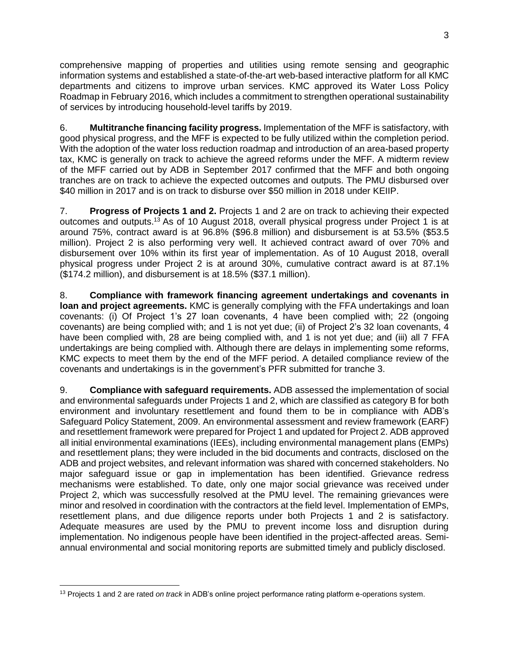comprehensive mapping of properties and utilities using remote sensing and geographic information systems and established a state-of-the-art web-based interactive platform for all KMC departments and citizens to improve urban services. KMC approved its Water Loss Policy Roadmap in February 2016, which includes a commitment to strengthen operational sustainability of services by introducing household-level tariffs by 2019.

6. **Multitranche financing facility progress.** Implementation of the MFF is satisfactory, with good physical progress, and the MFF is expected to be fully utilized within the completion period. With the adoption of the water loss reduction roadmap and introduction of an area-based property tax, KMC is generally on track to achieve the agreed reforms under the MFF. A midterm review of the MFF carried out by ADB in September 2017 confirmed that the MFF and both ongoing tranches are on track to achieve the expected outcomes and outputs. The PMU disbursed over \$40 million in 2017 and is on track to disburse over \$50 million in 2018 under KEIIP.

7. **Progress of Projects 1 and 2.** Projects 1 and 2 are on track to achieving their expected outcomes and outputs.<sup>13</sup> As of 10 August 2018, overall physical progress under Project 1 is at around 75%, contract award is at 96.8% (\$96.8 million) and disbursement is at 53.5% (\$53.5 million). Project 2 is also performing very well. It achieved contract award of over 70% and disbursement over 10% within its first year of implementation. As of 10 August 2018, overall physical progress under Project 2 is at around 30%, cumulative contract award is at 87.1% (\$174.2 million), and disbursement is at 18.5% (\$37.1 million).

8. **Compliance with framework financing agreement undertakings and covenants in loan and project agreements.** KMC is generally complying with the FFA undertakings and loan covenants: (i) Of Project 1's 27 loan covenants, 4 have been complied with; 22 (ongoing covenants) are being complied with; and 1 is not yet due; (ii) of Project 2's 32 loan covenants, 4 have been complied with, 28 are being complied with, and 1 is not yet due; and (iii) all 7 FFA undertakings are being complied with. Although there are delays in implementing some reforms, KMC expects to meet them by the end of the MFF period. A detailed compliance review of the covenants and undertakings is in the government's PFR submitted for tranche 3.

9. **Compliance with safeguard requirements.** ADB assessed the implementation of social and environmental safeguards under Projects 1 and 2, which are classified as category B for both environment and involuntary resettlement and found them to be in compliance with ADB's Safeguard Policy Statement, 2009. An environmental assessment and review framework (EARF) and resettlement framework were prepared for Project 1 and updated for Project 2. ADB approved all initial environmental examinations (IEEs), including environmental management plans (EMPs) and resettlement plans; they were included in the bid documents and contracts, disclosed on the ADB and project websites, and relevant information was shared with concerned stakeholders. No major safeguard issue or gap in implementation has been identified. Grievance redress mechanisms were established. To date, only one major social grievance was received under Project 2, which was successfully resolved at the PMU level. The remaining grievances were minor and resolved in coordination with the contractors at the field level. Implementation of EMPs, resettlement plans, and due diligence reports under both Projects 1 and 2 is satisfactory. Adequate measures are used by the PMU to prevent income loss and disruption during implementation. No indigenous people have been identified in the project-affected areas. Semiannual environmental and social monitoring reports are submitted timely and publicly disclosed.

<sup>13</sup> Projects 1 and 2 are rated *on track* in ADB's online project performance rating platform e-operations system.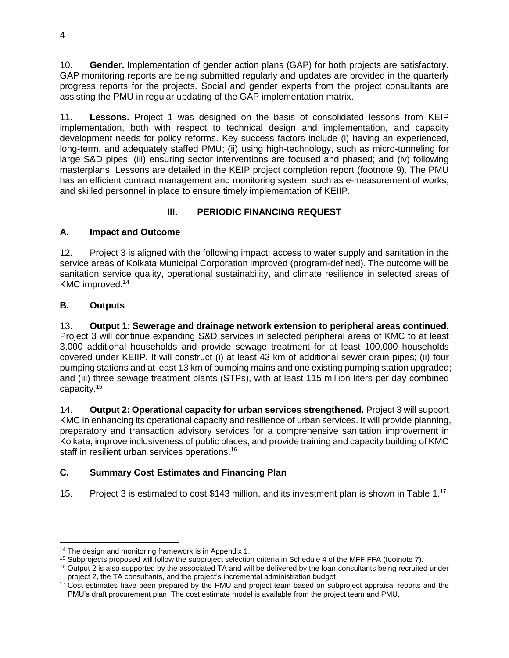10. **Gender.** Implementation of gender action plans (GAP) for both projects are satisfactory. GAP monitoring reports are being submitted regularly and updates are provided in the quarterly progress reports for the projects. Social and gender experts from the project consultants are assisting the PMU in regular updating of the GAP implementation matrix.

11. **Lessons.** Project 1 was designed on the basis of consolidated lessons from KEIP implementation, both with respect to technical design and implementation, and capacity development needs for policy reforms. Key success factors include (i) having an experienced, long-term, and adequately staffed PMU; (ii) using high-technology, such as micro-tunneling for large S&D pipes; (iii) ensuring sector interventions are focused and phased; and (iv) following masterplans. Lessons are detailed in the KEIP project completion report (footnote 9). The PMU has an efficient contract management and monitoring system, such as e-measurement of works, and skilled personnel in place to ensure timely implementation of KEIIP.

## **III. PERIODIC FINANCING REQUEST**

## <span id="page-9-1"></span><span id="page-9-0"></span>**A. Impact and Outcome**

12. Project 3 is aligned with the following impact: access to water supply and sanitation in the service areas of Kolkata Municipal Corporation improved (program-defined). The outcome will be sanitation service quality, operational sustainability, and climate resilience in selected areas of KMC improved. 14

## <span id="page-9-2"></span>**B. Outputs**

13. **Output 1: Sewerage and drainage network extension to peripheral areas continued.** Project 3 will continue expanding S&D services in selected peripheral areas of KMC to at least 3,000 additional households and provide sewage treatment for at least 100,000 households covered under KEIIP. It will construct (i) at least 43 km of additional sewer drain pipes; (ii) four pumping stations and at least 13 km of pumping mains and one existing pumping station upgraded; and (iii) three sewage treatment plants (STPs), with at least 115 million liters per day combined capacity.<sup>15</sup>

14. **Output 2: Operational capacity for urban services strengthened.** Project 3 will support KMC in enhancing its operational capacity and resilience of urban services. It will provide planning, preparatory and transaction advisory services for a comprehensive sanitation improvement in Kolkata, improve inclusiveness of public places, and provide training and capacity building of KMC staff in resilient urban services operations. 16

## <span id="page-9-3"></span>**C. Summary Cost Estimates and Financing Plan**

15. Project 3 is estimated to cost \$143 million, and its investment plan is shown in Table 1.<sup>17</sup>

<sup>&</sup>lt;sup>14</sup> The design and monitoring framework is in Appendix 1.

<sup>&</sup>lt;sup>15</sup> Subprojects proposed will follow the subproject selection criteria in Schedule 4 of the MFF FFA (footnote 7).

 $16$  Output 2 is also supported by the associated TA and will be delivered by the loan consultants being recruited under project 2, the TA consultants, and the project's incremental administration budget.

<sup>&</sup>lt;sup>17</sup> Cost estimates have been prepared by the PMU and project team based on subproject appraisal reports and the PMU's draft procurement plan. The cost estimate model is available from the project team and PMU.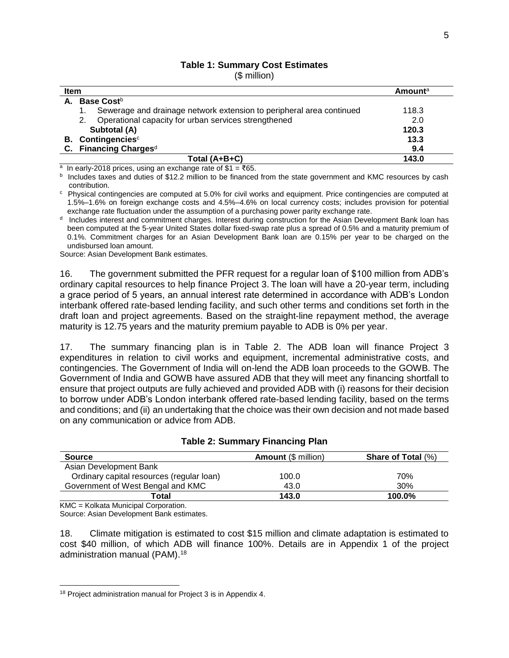## **Table 1: Summary Cost Estimates**

(\$ million)

| <b>Item</b>                                                          |       |
|----------------------------------------------------------------------|-------|
| A. Base Costb                                                        |       |
| Sewerage and drainage network extension to peripheral area continued | 118.3 |
| 2. Operational capacity for urban services strengthened              | 2.0   |
| Subtotal (A)                                                         | 120.3 |
| <b>B.</b> Contingencies <sup>c</sup>                                 | 13.3  |
| C. Financing Charges <sup>d</sup>                                    | 9.4   |
| Total (A+B+C)                                                        | 143.0 |

a In early-2018 prices, using an exchange rate of \$1 =  $\text{\textdegree}65$ .

b Includes taxes and duties of \$12.2 million to be financed from the state government and KMC resources by cash contribution.

c Physical contingencies are computed at 5.0% for civil works and equipment. Price contingencies are computed at 1.5%–1.6% on foreign exchange costs and 4.5%–4.6% on local currency costs; includes provision for potential exchange rate fluctuation under the assumption of a purchasing power parity exchange rate.

<sup>d</sup> Includes interest and commitment charges. Interest during construction for the Asian Development Bank loan has been computed at the 5-year United States dollar fixed-swap rate plus a spread of 0.5% and a maturity premium of 0.1%. Commitment charges for an Asian Development Bank loan are 0.15% per year to be charged on the undisbursed loan amount.

Source: Asian Development Bank estimates.

16. The government submitted the PFR request for a regular loan of \$100 million from ADB's ordinary capital resources to help finance Project 3. The loan will have a 20-year term, including a grace period of 5 years, an annual interest rate determined in accordance with ADB's London interbank offered rate-based lending facility, and such other terms and conditions set forth in the draft loan and project agreements. Based on the straight-line repayment method, the average maturity is 12.75 years and the maturity premium payable to ADB is 0% per year.

17. The summary financing plan is in Table 2. The ADB loan will finance Project 3 expenditures in relation to civil works and equipment, incremental administrative costs, and contingencies. The Government of India will on-lend the ADB loan proceeds to the GOWB. The Government of India and GOWB have assured ADB that they will meet any financing shortfall to ensure that project outputs are fully achieved and provided ADB with (i) reasons for their decision to borrow under ADB's London interbank offered rate-based lending facility, based on the terms and conditions; and (ii) an undertaking that the choice was their own decision and not made based on any communication or advice from ADB.

| <b>Table 2: Summary Financing Plan</b> |  |
|----------------------------------------|--|
|----------------------------------------|--|

| <b>Amount (\$ million)</b> | <b>Share of Total (%)</b> |
|----------------------------|---------------------------|
|                            |                           |
| 100.0                      | 70%                       |
| 43.0                       | 30%                       |
| 143.0                      | 100.0%                    |
|                            |                           |

KMC = Kolkata Municipal Corporation.

Source: Asian Development Bank estimates.

18. Climate mitigation is estimated to cost \$15 million and climate adaptation is estimated to cost \$40 million, of which ADB will finance 100%. Details are in Appendix 1 of the project administration manual (PAM). 18

<sup>&</sup>lt;sup>18</sup> Project administration manual for Project 3 is in Appendix 4.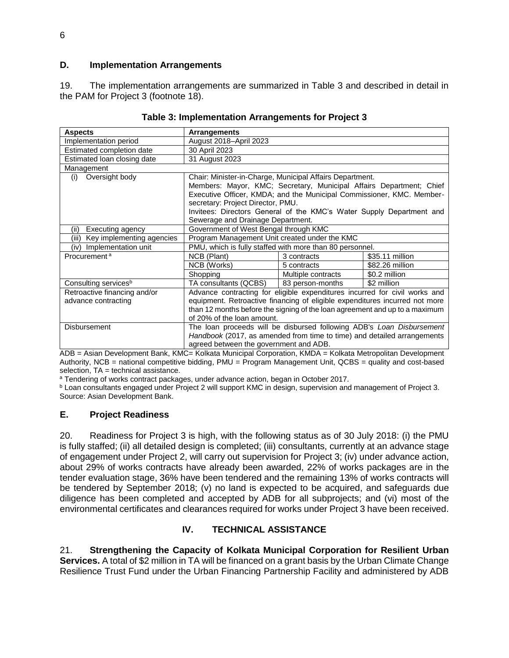### <span id="page-11-0"></span>**D. Implementation Arrangements**

19. The implementation arrangements are summarized in Table 3 and described in detail in the PAM for Project 3 (footnote 18).

| <b>Aspects</b>                     | <b>Arrangements</b>                                                         |                    |                 |  |
|------------------------------------|-----------------------------------------------------------------------------|--------------------|-----------------|--|
| Implementation period              | August 2018-April 2023                                                      |                    |                 |  |
| Estimated completion date          | 30 April 2023                                                               |                    |                 |  |
| Estimated loan closing date        | 31 August 2023                                                              |                    |                 |  |
| Management                         |                                                                             |                    |                 |  |
| Oversight body<br>(i)              | Chair: Minister-in-Charge, Municipal Affairs Department.                    |                    |                 |  |
|                                    | Members: Mayor, KMC; Secretary, Municipal Affairs Department; Chief         |                    |                 |  |
|                                    | Executive Officer, KMDA; and the Municipal Commissioner, KMC. Member-       |                    |                 |  |
|                                    | secretary: Project Director, PMU.                                           |                    |                 |  |
|                                    | Invitees: Directors General of the KMC's Water Supply Department and        |                    |                 |  |
|                                    | Sewerage and Drainage Department.                                           |                    |                 |  |
| (ii)<br>Executing agency           | Government of West Bengal through KMC                                       |                    |                 |  |
| Key implementing agencies<br>(iii) | Program Management Unit created under the KMC                               |                    |                 |  |
| (iv) Implementation unit           | PMU, which is fully staffed with more than 80 personnel.                    |                    |                 |  |
| Procurement <sup>a</sup>           | NCB (Plant)                                                                 | 3 contracts        | \$35.11 million |  |
|                                    | NCB (Works)                                                                 | 5 contracts        | \$82.26 million |  |
|                                    | Shopping                                                                    | Multiple contracts | \$0.2 million   |  |
| Consulting services <sup>b</sup>   | TA consultants (QCBS)                                                       | 83 person-months   | \$2 million     |  |
| Retroactive financing and/or       | Advance contracting for eligible expenditures incurred for civil works and  |                    |                 |  |
| advance contracting                | equipment. Retroactive financing of eligible expenditures incurred not more |                    |                 |  |
|                                    | than 12 months before the signing of the loan agreement and up to a maximum |                    |                 |  |
|                                    | of 20% of the loan amount.                                                  |                    |                 |  |
| <b>Disbursement</b>                | The loan proceeds will be disbursed following ADB's Loan Disbursement       |                    |                 |  |
|                                    | Handbook (2017, as amended from time to time) and detailed arrangements     |                    |                 |  |
|                                    | agreed between the government and ADB.                                      |                    |                 |  |

#### **Table 3: Implementation Arrangements for Project 3**

ADB = Asian Development Bank, KMC= Kolkata Municipal Corporation, KMDA = Kolkata Metropolitan Development Authority, NCB = national competitive bidding, PMU = Program Management Unit, QCBS = quality and cost-based selection, TA = technical assistance.

a Tendering of works contract packages, under advance action, began in October 2017.

**b** Loan consultants engaged under Project 2 will support KMC in design, supervision and management of Project 3. Source: Asian Development Bank.

#### <span id="page-11-1"></span>**E. Project Readiness**

20. Readiness for Project 3 is high, with the following status as of 30 July 2018: (i) the PMU is fully staffed; (ii) all detailed design is completed; (iii) consultants, currently at an advance stage of engagement under Project 2, will carry out supervision for Project 3; (iv) under advance action, about 29% of works contracts have already been awarded, 22% of works packages are in the tender evaluation stage, 36% have been tendered and the remaining 13% of works contracts will be tendered by September 2018; (v) no land is expected to be acquired, and safeguards due diligence has been completed and accepted by ADB for all subprojects; and (vi) most of the environmental certificates and clearances required for works under Project 3 have been received.

## **IV. TECHNICAL ASSISTANCE**

<span id="page-11-2"></span>21. **Strengthening the Capacity of Kolkata Municipal Corporation for Resilient Urban Services.** A total of \$2 million in TA will be financed on a grant basis by the Urban Climate Change Resilience Trust Fund under the Urban Financing Partnership Facility and administered by ADB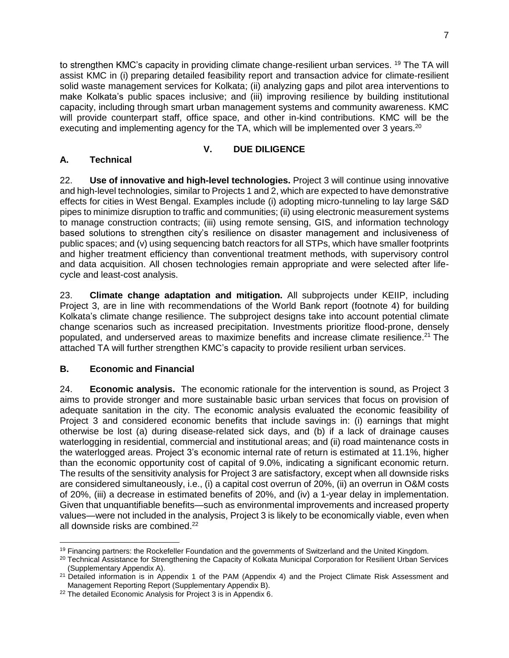to strengthen KMC's capacity in providing climate change-resilient urban services. <sup>19</sup> The TA will assist KMC in (i) preparing detailed feasibility report and transaction advice for climate-resilient solid waste management services for Kolkata; (ii) analyzing gaps and pilot area interventions to make Kolkata's public spaces inclusive; and (iii) improving resilience by building institutional capacity, including through smart urban management systems and community awareness. KMC will provide counterpart staff, office space, and other in-kind contributions. KMC will be the executing and implementing agency for the TA, which will be implemented over 3 years.<sup>20</sup>

## **V. DUE DILIGENCE**

## <span id="page-12-1"></span><span id="page-12-0"></span>**A. Technical**

22. **Use of innovative and high-level technologies.** Project 3 will continue using innovative and high-level technologies, similar to Projects 1 and 2, which are expected to have demonstrative effects for cities in West Bengal. Examples include (i) adopting micro-tunneling to lay large S&D pipes to minimize disruption to traffic and communities; (ii) using electronic measurement systems to manage construction contracts; (iii) using remote sensing, GIS, and information technology based solutions to strengthen city's resilience on disaster management and inclusiveness of public spaces; and (v) using sequencing batch reactors for all STPs, which have smaller footprints and higher treatment efficiency than conventional treatment methods, with supervisory control and data acquisition. All chosen technologies remain appropriate and were selected after lifecycle and least-cost analysis.

23. **Climate change adaptation and mitigation.** All subprojects under KEIIP, including Project 3, are in line with recommendations of the World Bank report (footnote 4) for building Kolkata's climate change resilience. The subproject designs take into account potential climate change scenarios such as increased precipitation. Investments prioritize flood-prone, densely populated, and underserved areas to maximize benefits and increase climate resilience.<sup>21</sup> The attached TA will further strengthen KMC's capacity to provide resilient urban services.

## <span id="page-12-2"></span>**B. Economic and Financial**

24. **Economic analysis.** The economic rationale for the intervention is sound, as Project 3 aims to provide stronger and more sustainable basic urban services that focus on provision of adequate sanitation in the city. The economic analysis evaluated the economic feasibility of Project 3 and considered economic benefits that include savings in: (i) earnings that might otherwise be lost (a) during disease-related sick days, and (b) if a lack of drainage causes waterlogging in residential, commercial and institutional areas; and (ii) road maintenance costs in the waterlogged areas. Project 3's economic internal rate of return is estimated at 11.1%, higher than the economic opportunity cost of capital of 9.0%, indicating a significant economic return. The results of the sensitivity analysis for Project 3 are satisfactory, except when all downside risks are considered simultaneously, i.e., (i) a capital cost overrun of 20%, (ii) an overrun in O&M costs of 20%, (iii) a decrease in estimated benefits of 20%, and (iv) a 1-year delay in implementation. Given that unquantifiable benefits—such as environmental improvements and increased property values—were not included in the analysis, Project 3 is likely to be economically viable, even when all downside risks are combined.<sup>22</sup>

 <sup>19</sup> Financing partners: the Rockefeller Foundation and the governments of Switzerland and the United Kingdom.

<sup>&</sup>lt;sup>20</sup> Technical Assistance for Strengthening the Capacity of Kolkata Municipal Corporation for Resilient Urban Services (Supplementary Appendix A).

<sup>&</sup>lt;sup>21</sup> Detailed information is in Appendix 1 of the PAM (Appendix 4) and the Project Climate Risk Assessment and Management Reporting Report (Supplementary Appendix B).

<sup>&</sup>lt;sup>22</sup> The detailed Economic Analysis for Project 3 is in Appendix 6.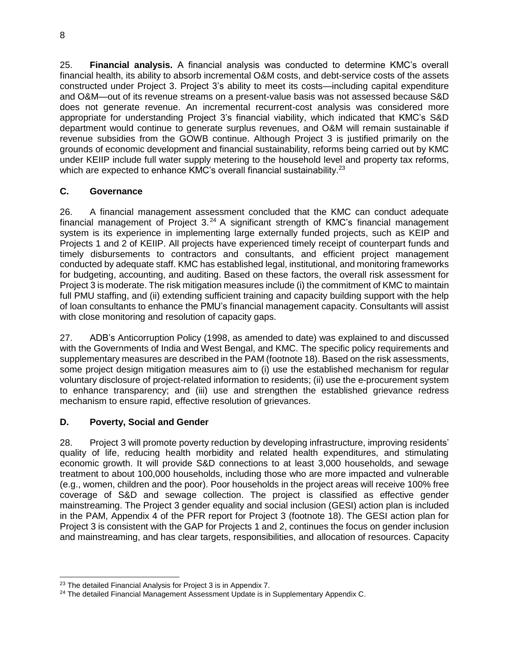25. **Financial analysis.** A financial analysis was conducted to determine KMC's overall financial health, its ability to absorb incremental O&M costs, and debt-service costs of the assets constructed under Project 3. Project 3's ability to meet its costs—including capital expenditure and O&M—out of its revenue streams on a present-value basis was not assessed because S&D does not generate revenue. An incremental recurrent-cost analysis was considered more appropriate for understanding Project 3's financial viability, which indicated that KMC's S&D department would continue to generate surplus revenues, and O&M will remain sustainable if revenue subsidies from the GOWB continue. Although Project 3 is justified primarily on the grounds of economic development and financial sustainability, reforms being carried out by KMC under KEIIP include full water supply metering to the household level and property tax reforms, which are expected to enhance KMC's overall financial sustainability.<sup>23</sup>

## <span id="page-13-0"></span>**C. Governance**

26. A financial management assessment concluded that the KMC can conduct adequate financial management of Project  $3.^{24}$  A significant strength of KMC's financial management system is its experience in implementing large externally funded projects, such as KEIP and Projects 1 and 2 of KEIIP. All projects have experienced timely receipt of counterpart funds and timely disbursements to contractors and consultants, and efficient project management conducted by adequate staff. KMC has established legal, institutional, and monitoring frameworks for budgeting, accounting, and auditing. Based on these factors, the overall risk assessment for Project 3 is moderate. The risk mitigation measures include (i) the commitment of KMC to maintain full PMU staffing, and (ii) extending sufficient training and capacity building support with the help of loan consultants to enhance the PMU's financial management capacity. Consultants will assist with close monitoring and resolution of capacity gaps.

27. ADB's Anticorruption Policy (1998, as amended to date) was explained to and discussed with the Governments of India and West Bengal, and KMC. The specific policy requirements and supplementary measures are described in the PAM (footnote 18). Based on the risk assessments, some project design mitigation measures aim to (i) use the established mechanism for regular voluntary disclosure of project-related information to residents; (ii) use the e-procurement system to enhance transparency; and (iii) use and strengthen the established grievance redress mechanism to ensure rapid, effective resolution of grievances.

## <span id="page-13-1"></span>**D. Poverty, Social and Gender**

 $\overline{a}$ 

28. Project 3 will promote poverty reduction by developing infrastructure, improving residents' quality of life, reducing health morbidity and related health expenditures, and stimulating economic growth. It will provide S&D connections to at least 3,000 households, and sewage treatment to about 100,000 households, including those who are more impacted and vulnerable (e.g., women, children and the poor). Poor households in the project areas will receive 100% free coverage of S&D and sewage collection. The project is classified as effective gender mainstreaming. The Project 3 gender equality and social inclusion (GESI) action plan is included in the PAM, Appendix 4 of the PFR report for Project 3 (footnote 18). The GESI action plan for Project 3 is consistent with the GAP for Projects 1 and 2, continues the focus on gender inclusion and mainstreaming, and has clear targets, responsibilities, and allocation of resources. Capacity

<sup>23</sup> The detailed Financial Analysis for Project 3 is in Appendix 7.

<sup>&</sup>lt;sup>24</sup> The detailed Financial Management Assessment Update is in Supplementary Appendix C.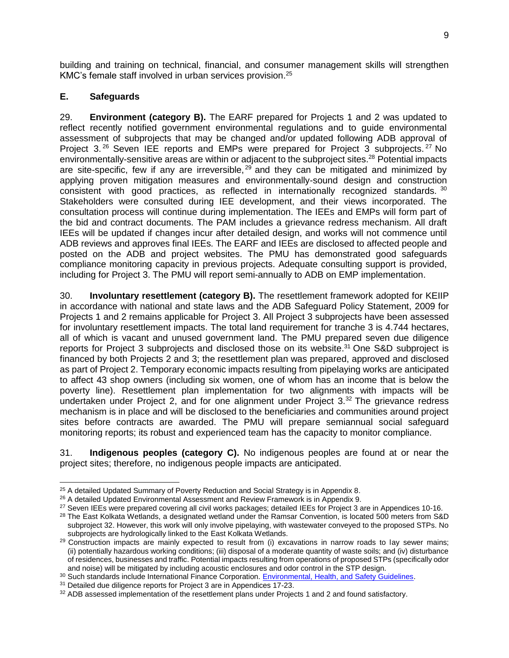building and training on technical, financial, and consumer management skills will strengthen KMC's female staff involved in urban services provision. 25

## <span id="page-14-0"></span>**E. Safeguards**

29. **Environment (category B).** The EARF prepared for Projects 1 and 2 was updated to reflect recently notified government environmental regulations and to guide environmental assessment of subprojects that may be changed and/or updated following ADB approval of Project 3.<sup>26</sup> Seven IEE reports and EMPs were prepared for Project 3 subprojects.<sup>27</sup> No environmentally-sensitive areas are within or adjacent to the subproject sites.<sup>28</sup> Potential impacts are site-specific, few if any are irreversible,  $29$  and they can be mitigated and minimized by applying proven mitigation measures and environmentally-sound design and construction consistent with good practices, as reflected in internationally recognized standards. <sup>30</sup> Stakeholders were consulted during IEE development, and their views incorporated. The consultation process will continue during implementation. The IEEs and EMPs will form part of the bid and contract documents. The PAM includes a grievance redress mechanism. All draft IEEs will be updated if changes incur after detailed design, and works will not commence until ADB reviews and approves final IEEs. The EARF and IEEs are disclosed to affected people and posted on the ADB and project websites. The PMU has demonstrated good safeguards compliance monitoring capacity in previous projects. Adequate consulting support is provided, including for Project 3. The PMU will report semi-annually to ADB on EMP implementation.

30. **Involuntary resettlement (category B).** The resettlement framework adopted for KEIIP in accordance with national and state laws and the ADB Safeguard Policy Statement, 2009 for Projects 1 and 2 remains applicable for Project 3. All Project 3 subprojects have been assessed for involuntary resettlement impacts. The total land requirement for tranche 3 is 4.744 hectares, all of which is vacant and unused government land. The PMU prepared seven due diligence reports for Project 3 subprojects and disclosed those on its website.<sup>31</sup> One S&D subproject is financed by both Projects 2 and 3; the resettlement plan was prepared, approved and disclosed as part of Project 2. Temporary economic impacts resulting from pipelaying works are anticipated to affect 43 shop owners (including six women, one of whom has an income that is below the poverty line). Resettlement plan implementation for two alignments with impacts will be undertaken under Project 2, and for one alignment under Project 3.<sup>32</sup> The grievance redress mechanism is in place and will be disclosed to the beneficiaries and communities around project sites before contracts are awarded. The PMU will prepare semiannual social safeguard monitoring reports; its robust and experienced team has the capacity to monitor compliance.

31. **Indigenous peoples (category C).** No indigenous peoples are found at or near the project sites; therefore, no indigenous people impacts are anticipated.

 <sup>25</sup> A detailed Updated Summary of Poverty Reduction and Social Strategy is in Appendix 8.

<sup>&</sup>lt;sup>26</sup> A detailed Updated Environmental Assessment and Review Framework is in Appendix 9.

<sup>&</sup>lt;sup>27</sup> Seven IEEs were prepared covering all civil works packages; detailed IEEs for Project 3 are in Appendices 10-16.

<sup>&</sup>lt;sup>28</sup> The East Kolkata Wetlands, a designated wetland under the Ramsar Convention, is located 500 meters from S&D subproject 32. However, this work will only involve pipelaying, with wastewater conveyed to the proposed STPs. No subprojects are hydrologically linked to the East Kolkata Wetlands.

<sup>&</sup>lt;sup>29</sup> Construction impacts are mainly expected to result from (i) excavations in narrow roads to lay sewer mains; (ii) potentially hazardous working conditions; (iii) disposal of a moderate quantity of waste soils; and (iv) disturbance of residences, businesses and traffic. Potential impacts resulting from operations of proposed STPs (specifically odor and noise) will be mitigated by including acoustic enclosures and odor control in the STP design.

<sup>30</sup> Such standards include International Finance Corporation. [Environmental, Health, and Safety Guidelines.](https://www.ifc.org/wps/wcm/connect/topics_ext_content/ifc_external_corporate_site/sustainability-at-ifc/policies-standards/ehs-guidelines)

<sup>&</sup>lt;sup>31</sup> Detailed due diligence reports for Project 3 are in Appendices 17-23.

<sup>32</sup> ADB assessed implementation of the resettlement plans under Projects 1 and 2 and found satisfactory.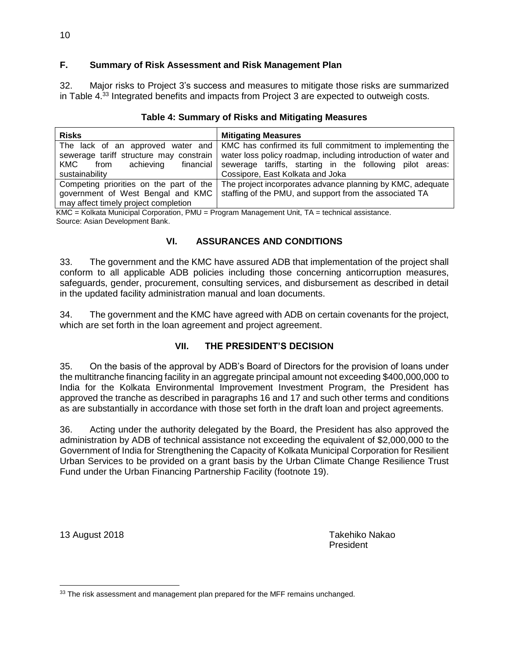## <span id="page-15-0"></span>**F. Summary of Risk Assessment and Risk Management Plan**

32. Major risks to Project 3's success and measures to mitigate those risks are summarized in Table 4.<sup>33</sup> Integrated benefits and impacts from Project 3 are expected to outweigh costs.

| <b>Risks</b>                            | <b>Mitigating Measures</b>                                                                    |
|-----------------------------------------|-----------------------------------------------------------------------------------------------|
|                                         | The lack of an approved water and   KMC has confirmed its full commitment to implementing the |
| sewerage tariff structure may constrain | water loss policy roadmap, including introduction of water and                                |
| achieving<br>KMC.<br>from               | financial sewerage tariffs, starting in the following pilot areas:                            |
| sustainability                          | Cossipore, East Kolkata and Joka                                                              |
| Competing priorities on the part of the | The project incorporates advance planning by KMC, adequate                                    |
| government of West Bengal and KMC       | staffing of the PMU, and support from the associated TA                                       |
| may affect timely project completion    |                                                                                               |

## **Table 4: Summary of Risks and Mitigating Measures**

KMC = Kolkata Municipal Corporation, PMU = Program Management Unit, TA = technical assistance. Source: Asian Development Bank.

## **VI. ASSURANCES AND CONDITIONS**

<span id="page-15-1"></span>33. The government and the KMC have assured ADB that implementation of the project shall conform to all applicable ADB policies including those concerning anticorruption measures, safeguards, gender, procurement, consulting services, and disbursement as described in detail in the updated facility administration manual and loan documents.

34. The government and the KMC have agreed with ADB on certain covenants for the project, which are set forth in the loan agreement and project agreement.

#### **VII. THE PRESIDENT'S DECISION**

<span id="page-15-2"></span>35. On the basis of the approval by ADB's Board of Directors for the provision of loans under the multitranche financing facility in an aggregate principal amount not exceeding \$400,000,000 to India for the Kolkata Environmental Improvement Investment Program, the President has approved the tranche as described in paragraphs 16 and 17 and such other terms and conditions as are substantially in accordance with those set forth in the draft loan and project agreements.

36. Acting under the authority delegated by the Board, the President has also approved the administration by ADB of technical assistance not exceeding the equivalent of \$2,000,000 to the Government of India for Strengthening the Capacity of Kolkata Municipal Corporation for Resilient Urban Services to be provided on a grant basis by the Urban Climate Change Resilience Trust Fund under the Urban Financing Partnership Facility (footnote 19).

13 August 2018 Takehiko Nakao President

<sup>&</sup>lt;sup>33</sup> The risk assessment and management plan prepared for the MFF remains unchanged.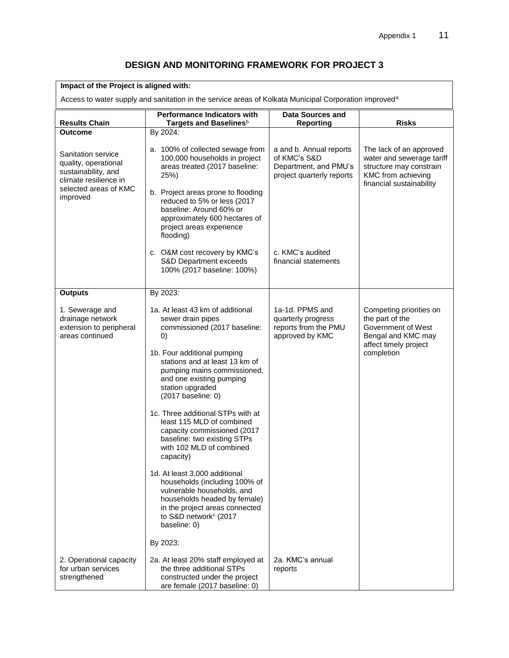## **DESIGN AND MONITORING FRAMEWORK FOR PROJECT 3**

| Impact of the Project is aligned with:                                                                                          |                                                                                                                                                                                                                                                                                                                                                                                                                                                                                                                                                                                                                                                                                                 |                                                                                               |                                                                                                                                   |  |
|---------------------------------------------------------------------------------------------------------------------------------|-------------------------------------------------------------------------------------------------------------------------------------------------------------------------------------------------------------------------------------------------------------------------------------------------------------------------------------------------------------------------------------------------------------------------------------------------------------------------------------------------------------------------------------------------------------------------------------------------------------------------------------------------------------------------------------------------|-----------------------------------------------------------------------------------------------|-----------------------------------------------------------------------------------------------------------------------------------|--|
| Access to water supply and sanitation in the service areas of Kolkata Municipal Corporation improved <sup>a</sup>               |                                                                                                                                                                                                                                                                                                                                                                                                                                                                                                                                                                                                                                                                                                 |                                                                                               |                                                                                                                                   |  |
| <b>Results Chain</b>                                                                                                            | <b>Performance Indicators with</b><br>Targets and Baselines <sup>b</sup>                                                                                                                                                                                                                                                                                                                                                                                                                                                                                                                                                                                                                        | <b>Data Sources and</b><br>Reporting                                                          | <b>Risks</b>                                                                                                                      |  |
| <b>Outcome</b>                                                                                                                  | By 2024:                                                                                                                                                                                                                                                                                                                                                                                                                                                                                                                                                                                                                                                                                        |                                                                                               |                                                                                                                                   |  |
| Sanitation service<br>quality, operational<br>sustainability, and<br>climate resilience in<br>selected areas of KMC<br>improved | a. 100% of collected sewage from<br>100,000 households in project<br>areas treated (2017 baseline:<br>25%)<br>b. Project areas prone to flooding<br>reduced to 5% or less (2017<br>baseline: Around 60% or<br>approximately 600 hectares of<br>project areas experience<br>flooding)                                                                                                                                                                                                                                                                                                                                                                                                            | a and b. Annual reports<br>of KMC's S&D<br>Department, and PMU's<br>project quarterly reports | The lack of an approved<br>water and sewerage tariff<br>structure may constrain<br>KMC from achieving<br>financial sustainability |  |
|                                                                                                                                 | c. O&M cost recovery by KMC's<br>S&D Department exceeds<br>100% (2017 baseline: 100%)                                                                                                                                                                                                                                                                                                                                                                                                                                                                                                                                                                                                           | c. KMC's audited<br>financial statements                                                      |                                                                                                                                   |  |
| <b>Outputs</b>                                                                                                                  | By 2023:                                                                                                                                                                                                                                                                                                                                                                                                                                                                                                                                                                                                                                                                                        |                                                                                               |                                                                                                                                   |  |
| 1. Sewerage and<br>drainage network<br>extension to peripheral<br>areas continued                                               | 1a. At least 43 km of additional<br>sewer drain pipes<br>commissioned (2017 baseline:<br>$\left( 0\right)$<br>1b. Four additional pumping<br>stations and at least 13 km of<br>pumping mains commissioned,<br>and one existing pumping<br>station upgraded<br>$(2017)$ baseline: 0)<br>1c. Three additional STPs with at<br>least 115 MLD of combined<br>capacity commissioned (2017<br>baseline: two existing STPs<br>with 102 MLD of combined<br>capacity)<br>1d. At least 3,000 additional<br>households (including 100% of<br>vulnerable households, and<br>households headed by female)<br>in the project areas connected<br>to S&D network <sup>c</sup> (2017<br>baseline: 0)<br>By 2023: | 1a-1d. PPMS and<br>quarterly progress<br>reports from the PMU<br>approved by KMC              | Competing priorities on<br>the part of the<br>Government of West<br>Bengal and KMC may<br>affect timely project<br>completion     |  |
| 2. Operational capacity<br>for urban services<br>strengthened                                                                   | 2a. At least 20% staff employed at<br>the three additional STPs<br>constructed under the project<br>are female (2017 baseline: 0)                                                                                                                                                                                                                                                                                                                                                                                                                                                                                                                                                               | 2a. KMC's annual<br>reports                                                                   |                                                                                                                                   |  |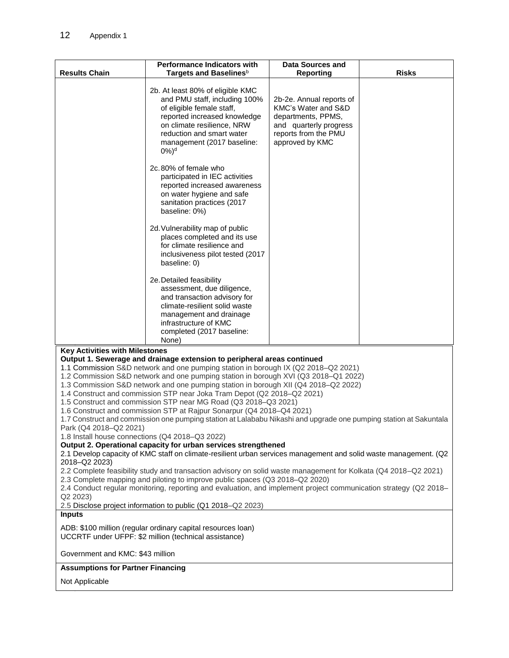|                                                                                                                                                                                                                                                                                                                                                                                                                                                                                                                                                                                                                                                                                                                                                                                                                                                                                                                                                                                                                                                                                                                                                                                                                                                                                                                                                                                                                                                                                                          | <b>Performance Indicators with</b>                                                                                                                                                                                                                                    | <b>Data Sources and</b>                                                                                                                    |              |  |
|----------------------------------------------------------------------------------------------------------------------------------------------------------------------------------------------------------------------------------------------------------------------------------------------------------------------------------------------------------------------------------------------------------------------------------------------------------------------------------------------------------------------------------------------------------------------------------------------------------------------------------------------------------------------------------------------------------------------------------------------------------------------------------------------------------------------------------------------------------------------------------------------------------------------------------------------------------------------------------------------------------------------------------------------------------------------------------------------------------------------------------------------------------------------------------------------------------------------------------------------------------------------------------------------------------------------------------------------------------------------------------------------------------------------------------------------------------------------------------------------------------|-----------------------------------------------------------------------------------------------------------------------------------------------------------------------------------------------------------------------------------------------------------------------|--------------------------------------------------------------------------------------------------------------------------------------------|--------------|--|
| <b>Results Chain</b>                                                                                                                                                                                                                                                                                                                                                                                                                                                                                                                                                                                                                                                                                                                                                                                                                                                                                                                                                                                                                                                                                                                                                                                                                                                                                                                                                                                                                                                                                     | Targets and Baselines <sup>b</sup>                                                                                                                                                                                                                                    | <b>Reporting</b>                                                                                                                           | <b>Risks</b> |  |
|                                                                                                                                                                                                                                                                                                                                                                                                                                                                                                                                                                                                                                                                                                                                                                                                                                                                                                                                                                                                                                                                                                                                                                                                                                                                                                                                                                                                                                                                                                          | 2b. At least 80% of eligible KMC<br>and PMU staff, including 100%<br>of eligible female staff,<br>reported increased knowledge<br>on climate resilience, NRW<br>reduction and smart water<br>management (2017 baseline:<br>$0\%$ <sup>d</sup><br>2c.80% of female who | 2b-2e. Annual reports of<br>KMC's Water and S&D<br>departments, PPMS,<br>and quarterly progress<br>reports from the PMU<br>approved by KMC |              |  |
|                                                                                                                                                                                                                                                                                                                                                                                                                                                                                                                                                                                                                                                                                                                                                                                                                                                                                                                                                                                                                                                                                                                                                                                                                                                                                                                                                                                                                                                                                                          | participated in IEC activities<br>reported increased awareness<br>on water hygiene and safe<br>sanitation practices (2017<br>baseline: 0%)                                                                                                                            |                                                                                                                                            |              |  |
|                                                                                                                                                                                                                                                                                                                                                                                                                                                                                                                                                                                                                                                                                                                                                                                                                                                                                                                                                                                                                                                                                                                                                                                                                                                                                                                                                                                                                                                                                                          | 2d. Vulnerability map of public<br>places completed and its use<br>for climate resilience and<br>inclusiveness pilot tested (2017<br>baseline: 0)                                                                                                                     |                                                                                                                                            |              |  |
|                                                                                                                                                                                                                                                                                                                                                                                                                                                                                                                                                                                                                                                                                                                                                                                                                                                                                                                                                                                                                                                                                                                                                                                                                                                                                                                                                                                                                                                                                                          | 2e. Detailed feasibility<br>assessment, due diligence,<br>and transaction advisory for<br>climate-resilient solid waste<br>management and drainage<br>infrastructure of KMC<br>completed (2017 baseline:<br>None)                                                     |                                                                                                                                            |              |  |
| <b>Key Activities with Milestones</b><br>Output 1. Sewerage and drainage extension to peripheral areas continued<br>1.1 Commission S&D network and one pumping station in borough IX (Q2 2018-Q2 2021)<br>1.2 Commission S&D network and one pumping station in borough XVI (Q3 2018-Q1 2022)<br>1.3 Commission S&D network and one pumping station in borough XII (Q4 2018-Q2 2022)<br>1.4 Construct and commission STP near Joka Tram Depot (Q2 2018-Q2 2021)<br>1.5 Construct and commission STP near MG Road (Q3 2018-Q3 2021)<br>1.6 Construct and commission STP at Rajpur Sonarpur (Q4 2018-Q4 2021)<br>1.7 Construct and commission one pumping station at Lalababu Nikashi and upgrade one pumping station at Sakuntala<br>Park (Q4 2018-Q2 2021)<br>1.8 Install house connections (Q4 2018-Q3 2022)<br>Output 2. Operational capacity for urban services strengthened<br>2.1 Develop capacity of KMC staff on climate-resilient urban services management and solid waste management. (Q2<br>2018-Q2 2023)<br>2.2 Complete feasibility study and transaction advisory on solid waste management for Kolkata (Q4 2018-Q2 2021)<br>2.3 Complete mapping and piloting to improve public spaces (Q3 2018–Q2 2020)<br>2.4 Conduct regular monitoring, reporting and evaluation, and implement project communication strategy (Q2 2018–<br>Q2 2023)<br>2.5 Disclose project information to public (Q1 2018-Q2 2023)<br><b>Inputs</b><br>ADB: \$100 million (regular ordinary capital resources loan) |                                                                                                                                                                                                                                                                       |                                                                                                                                            |              |  |
| Government and KMC: \$43 million                                                                                                                                                                                                                                                                                                                                                                                                                                                                                                                                                                                                                                                                                                                                                                                                                                                                                                                                                                                                                                                                                                                                                                                                                                                                                                                                                                                                                                                                         | UCCRTF under UFPF: \$2 million (technical assistance)                                                                                                                                                                                                                 |                                                                                                                                            |              |  |
| <b>Assumptions for Partner Financing</b>                                                                                                                                                                                                                                                                                                                                                                                                                                                                                                                                                                                                                                                                                                                                                                                                                                                                                                                                                                                                                                                                                                                                                                                                                                                                                                                                                                                                                                                                 |                                                                                                                                                                                                                                                                       |                                                                                                                                            |              |  |
| Not Applicable                                                                                                                                                                                                                                                                                                                                                                                                                                                                                                                                                                                                                                                                                                                                                                                                                                                                                                                                                                                                                                                                                                                                                                                                                                                                                                                                                                                                                                                                                           |                                                                                                                                                                                                                                                                       |                                                                                                                                            |              |  |